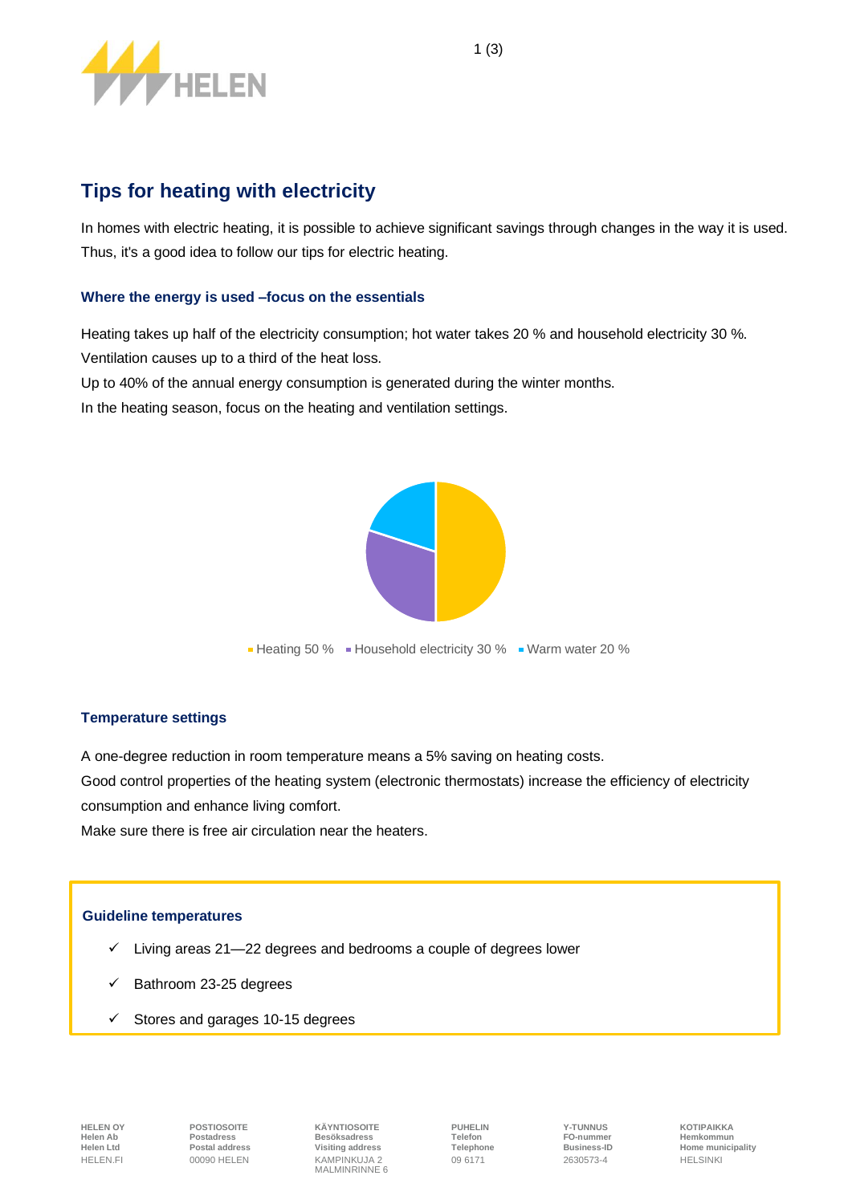

# **Tips for heating with electricity**

In homes with electric heating, it is possible to achieve significant savings through changes in the way it is used. Thus, it's a good idea to follow our tips for electric heating.

## **Where the energy is used –focus on the essentials**

Heating takes up half of the electricity consumption; hot water takes 20 % and household electricity 30 %. Ventilation causes up to a third of the heat loss.

Up to 40% of the annual energy consumption is generated during the winter months.

In the heating season, focus on the heating and ventilation settings.



## **Temperature settings**

A one-degree reduction in room temperature means a 5% saving on heating costs.

Good control properties of the heating system (electronic thermostats) increase the efficiency of electricity consumption and enhance living comfort.

Make sure there is free air circulation near the heaters.

## **Guideline temperatures**

- $\checkmark$  Living areas 21—22 degrees and bedrooms a couple of degrees lower
- Bathroom 23-25 degrees
- Stores and garages 10-15 degrees

**HELEN OY POSTIOSOITE KÄYNTIOSOITE PUHELIN Y-TUNNUS KOTIPAIKKA Helen Ab Postadress Besöksadress Telefon FO-nummer Hemkommun** HELEN.FI 00090 HELEN KAMPINKUJA 2 09 6171 2630573-4 HELSINKI MALMINRINNE 6

**Helen Ltd Postal address Visiting address Telephone Business-ID Home municipality**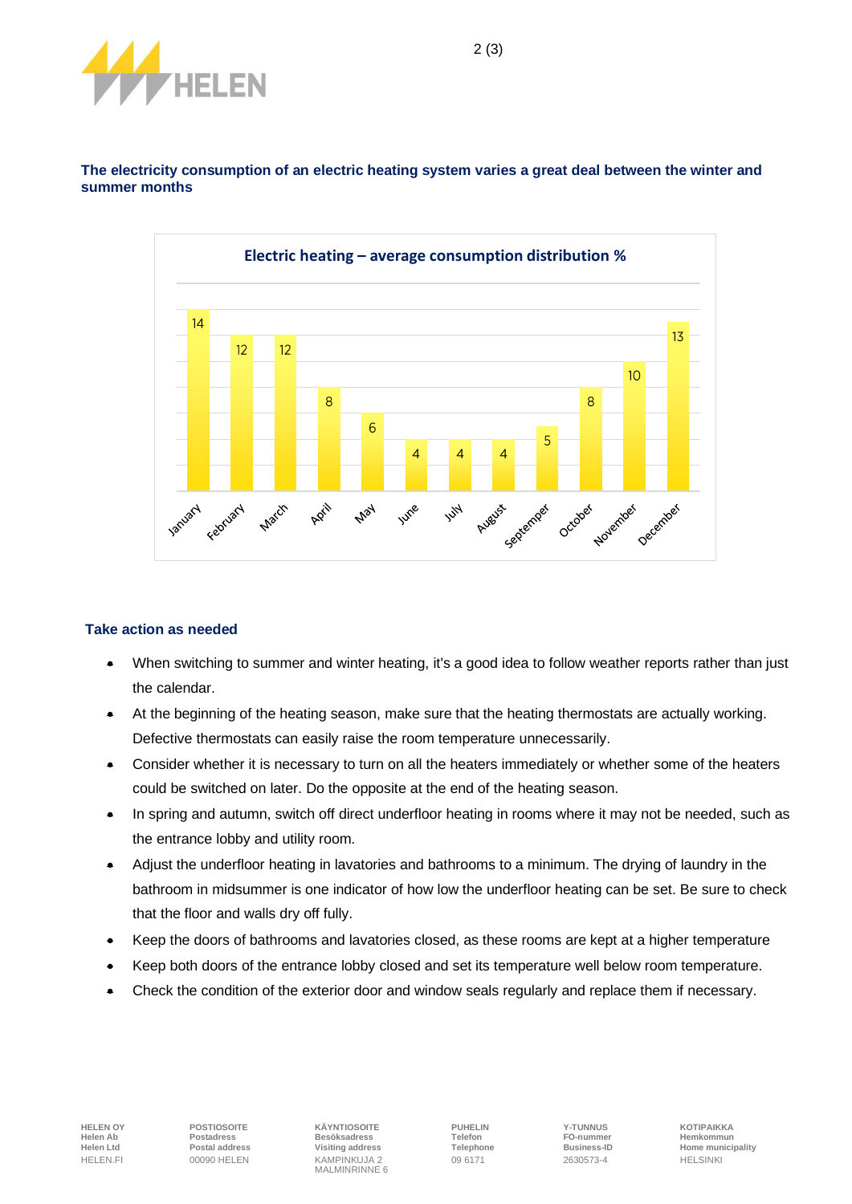



**The electricity consumption of an electric heating system varies a great deal between the winter and summer months**

#### **Take action as needed**

- When switching to summer and winter heating, it's a good idea to follow weather reports rather than just the calendar.
- At the beginning of the heating season, make sure that the heating thermostats are actually working. Defective thermostats can easily raise the room temperature unnecessarily.
- Consider whether it is necessary to turn on all the heaters immediately or whether some of the heaters could be switched on later. Do the opposite at the end of the heating season.
- In spring and autumn, switch off direct underfloor heating in rooms where it may not be needed, such as the entrance lobby and utility room.
- Adjust the underfloor heating in lavatories and bathrooms to a minimum. The drying of laundry in the bathroom in midsummer is one indicator of how low the underfloor heating can be set. Be sure to check that the floor and walls dry off fully.
- Keep the doors of bathrooms and lavatories closed, as these rooms are kept at a higher temperature
- Keep both doors of the entrance lobby closed and set its temperature well below room temperature.
- Check the condition of the exterior door and window seals regularly and replace them if necessary.

**HELEN OY POSTIOSOITE KÄYNTIOSOITE PUHELIN Y-TUNNUS KOTIPAIKKA Helen Ab Postadress Besöksadress Telefon FO-nummer Hemkommun** HELEN.FI 00090 HELEN KAMPINKUJA 2 09 6171 2630573-4 HELSINKI MALMINRINNE 6

**Helen Ltd Postal address Visiting address Telephone Business-ID Home municipality**